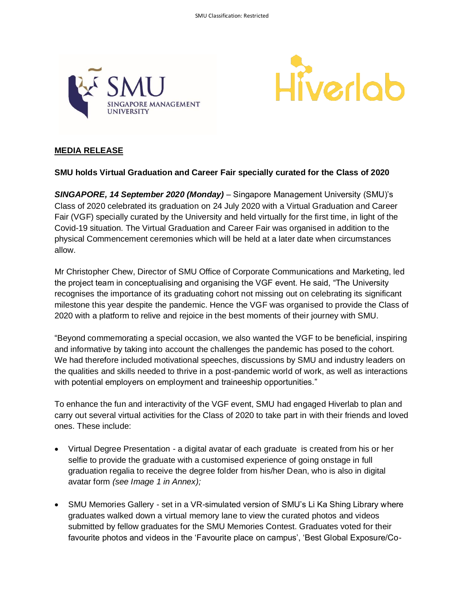



# **MEDIA RELEASE**

## **SMU holds Virtual Graduation and Career Fair specially curated for the Class of 2020**

*SINGAPORE, 14 September 2020 (Monday)* – Singapore Management University (SMU)'s Class of 2020 celebrated its graduation on 24 July 2020 with a Virtual Graduation and Career Fair (VGF) specially curated by the University and held virtually for the first time, in light of the Covid-19 situation. The Virtual Graduation and Career Fair was organised in addition to the physical Commencement ceremonies which will be held at a later date when circumstances allow.

Mr Christopher Chew, Director of SMU Office of Corporate Communications and Marketing, led the project team in conceptualising and organising the VGF event. He said, "The University recognises the importance of its graduating cohort not missing out on celebrating its significant milestone this year despite the pandemic. Hence the VGF was organised to provide the Class of 2020 with a platform to relive and rejoice in the best moments of their journey with SMU.

"Beyond commemorating a special occasion, we also wanted the VGF to be beneficial, inspiring and informative by taking into account the challenges the pandemic has posed to the cohort. We had therefore included motivational speeches, discussions by SMU and industry leaders on the qualities and skills needed to thrive in a post-pandemic world of work, as well as interactions with potential employers on employment and traineeship opportunities."

To enhance the fun and interactivity of the VGF event, SMU had engaged Hiverlab to plan and carry out several virtual activities for the Class of 2020 to take part in with their friends and loved ones. These include:

- Virtual Degree Presentation a digital avatar of each graduate is created from his or her selfie to provide the graduate with a customised experience of going onstage in full graduation regalia to receive the degree folder from his/her Dean, who is also in digital avatar form *(see Image 1 in Annex);*
- SMU Memories Gallery set in a VR-simulated version of SMU's Li Ka Shing Library where graduates walked down a virtual memory lane to view the curated photos and videos submitted by fellow graduates for the SMU Memories Contest. Graduates voted for their favourite photos and videos in the 'Favourite place on campus', 'Best Global Exposure/Co-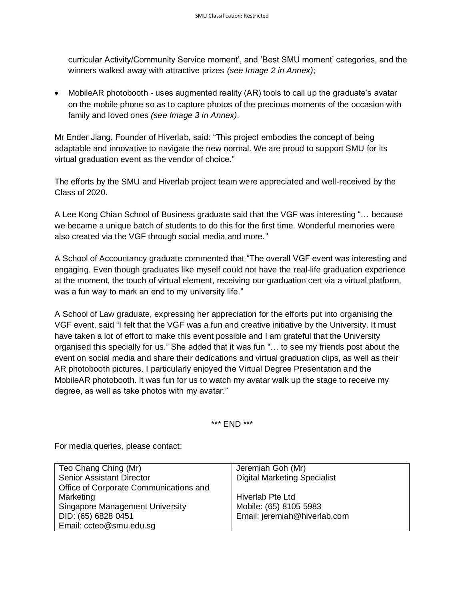curricular Activity/Community Service moment', and 'Best SMU moment' categories, and the winners walked away with attractive prizes *(see Image 2 in Annex)*;

• MobileAR photobooth - uses augmented reality (AR) tools to call up the graduate's avatar on the mobile phone so as to capture photos of the precious moments of the occasion with family and loved ones *(see Image 3 in Annex)*.

Mr Ender Jiang, Founder of Hiverlab, said: "This project embodies the concept of being adaptable and innovative to navigate the new normal. We are proud to support SMU for its virtual graduation event as the vendor of choice."

The efforts by the SMU and Hiverlab project team were appreciated and well-received by the Class of 2020.

A Lee Kong Chian School of Business graduate said that the VGF was interesting "… because we became a unique batch of students to do this for the first time. Wonderful memories were also created via the VGF through social media and more."

A School of Accountancy graduate commented that "The overall VGF event was interesting and engaging. Even though graduates like myself could not have the real-life graduation experience at the moment, the touch of virtual element, receiving our graduation cert via a virtual platform, was a fun way to mark an end to my university life."

A School of Law graduate, expressing her appreciation for the efforts put into organising the VGF event, said "I felt that the VGF was a fun and creative initiative by the University. It must have taken a lot of effort to make this event possible and I am grateful that the University organised this specially for us." She added that it was fun "… to see my friends post about the event on social media and share their dedications and virtual graduation clips, as well as their AR photobooth pictures. I particularly enjoyed the Virtual Degree Presentation and the MobileAR photobooth. It was fun for us to watch my avatar walk up the stage to receive my degree, as well as take photos with my avatar."

#### \*\*\* END \*\*\*

For media queries, please contact:

| Teo Chang Ching (Mr)                   | Jeremiah Goh (Mr)                   |
|----------------------------------------|-------------------------------------|
| <b>Senior Assistant Director</b>       | <b>Digital Marketing Specialist</b> |
| Office of Corporate Communications and |                                     |
| Marketing                              | Hiverlab Pte Ltd                    |
| <b>Singapore Management University</b> | Mobile: (65) 8105 5983              |
| DID: (65) 6828 0451                    | Email: jeremiah@hiverlab.com        |
| Email: ccteo@smu.edu.sg                |                                     |